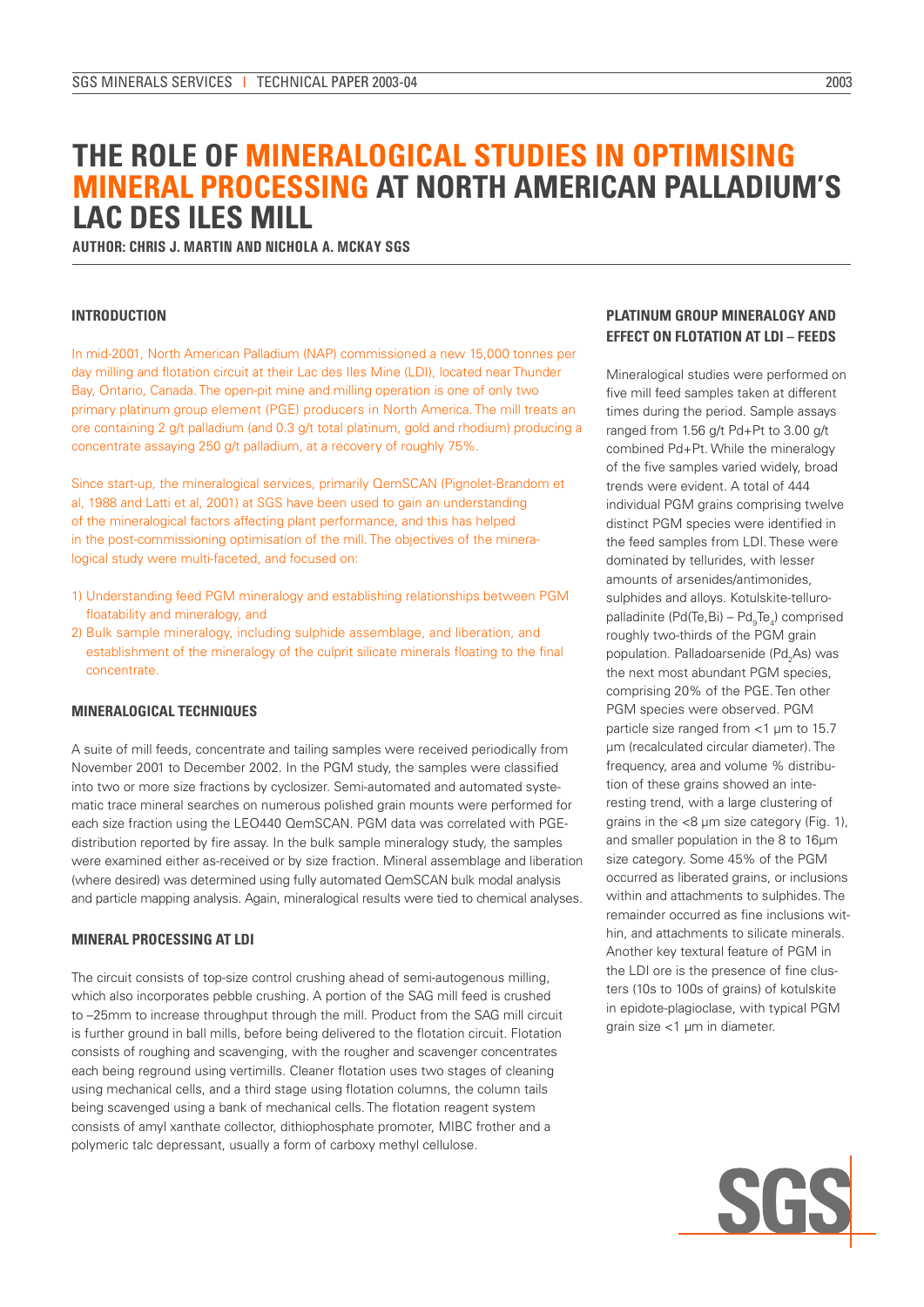# **THE ROLE OF MINERALOGICAL STUDIES IN OPTIMISING MINERAL PROCESSING AT NORTH AMERICAN PALLADIUM'S LAC DES ILES MILL**

**AUTHOR: CHRIS J. MARTIN AND NICHOLA A. MCKAY SGS** 

## **Introduction**

In mid-2001, North American Palladium (NAP) commissioned a new 15,000 tonnes per day milling and flotation circuit at their Lac des Iles Mine (LDI), located near Thunder Bay, Ontario, Canada. The open-pit mine and milling operation is one of only two primary platinum group element (PGE) producers in North America. The mill treats an ore containing 2 g/t palladium (and 0.3 g/t total platinum, gold and rhodium) producing a concentrate assaying 250 g/t palladium, at a recovery of roughly 75%.

Since start-up, the mineralogical services, primarily QemSCAN (Pignolet-Brandom et al, 1988 and Latti et al, 2001) at SGS have been used to gain an understanding of the mineralogical factors affecting plant performance, and this has helped in the post-commissioning optimisation of the mill. The objectives of the mineralogical study were multi-faceted, and focused on:

- 1) Understanding feed PGM mineralogy and establishing relationships between PGM floatability and mineralogy, and
- 2) Bulk sample mineralogy, including sulphide assemblage, and liberation, and establishment of the mineralogy of the culprit silicate minerals floating to the final concentrate.

## **Mineralogical Techniques**

A suite of mill feeds, concentrate and tailing samples were received periodically from November 2001 to December 2002. In the PGM study, the samples were classified into two or more size fractions by cyclosizer. Semi-automated and automated systematic trace mineral searches on numerous polished grain mounts were performed for each size fraction using the LEO440 QemSCAN. PGM data was correlated with PGEdistribution reported by fire assay. In the bulk sample mineralogy study, the samples were examined either as-received or by size fraction. Mineral assemblage and liberation (where desired) was determined using fully automated QemSCAN bulk modal analysis and particle mapping analysis. Again, mineralogical results were tied to chemical analyses.

#### **Mineral Processing at LDI**

The circuit consists of top-size control crushing ahead of semi-autogenous milling, which also incorporates pebble crushing. A portion of the SAG mill feed is crushed to –25mm to increase throughput through the mill. Product from the SAG mill circuit is further ground in ball mills, before being delivered to the flotation circuit. Flotation consists of roughing and scavenging, with the rougher and scavenger concentrates each being reground using vertimills. Cleaner flotation uses two stages of cleaning using mechanical cells, and a third stage using flotation columns, the column tails being scavenged using a bank of mechanical cells. The flotation reagent system consists of amyl xanthate collector, dithiophosphate promoter, MIBC frother and a polymeric talc depressant, usually a form of carboxy methyl cellulose.

# **Platinum Group Mineralogy and Effect on Flotation at LDI – Feeds**

Mineralogical studies were performed on five mill feed samples taken at different times during the period. Sample assays ranged from 1.56 g/t Pd+Pt to 3.00 g/t combined Pd+Pt. While the mineralogy of the five samples varied widely, broad trends were evident. A total of 444 individual PGM grains comprising twelve distinct PGM species were identified in the feed samples from LDI. These were dominated by tellurides, with lesser amounts of arsenides/antimonides, sulphides and alloys. Kotulskite-telluropalladinite (Pd(Te,Bi) – Pd<sub>9</sub>Te<sub>4</sub>) comprised roughly two-thirds of the PGM grain population. Palladoarsenide (Pd<sub>2</sub>As) was the next most abundant PGM species, comprising 20% of the PGE. Ten other PGM species were observed. PGM particle size ranged from <1 μm to 15.7 μm (recalculated circular diameter). The frequency, area and volume % distribution of these grains showed an interesting trend, with a large clustering of grains in the <8 μm size category (Fig. 1), and smaller population in the 8 to 16μm size category. Some 45% of the PGM occurred as liberated grains, or inclusions within and attachments to sulphides. The remainder occurred as fine inclusions within, and attachments to silicate minerals. Another key textural feature of PGM in the LDI ore is the presence of fine clusters (10s to 100s of grains) of kotulskite in epidote-plagioclase, with typical PGM grain size <1 μm in diameter.

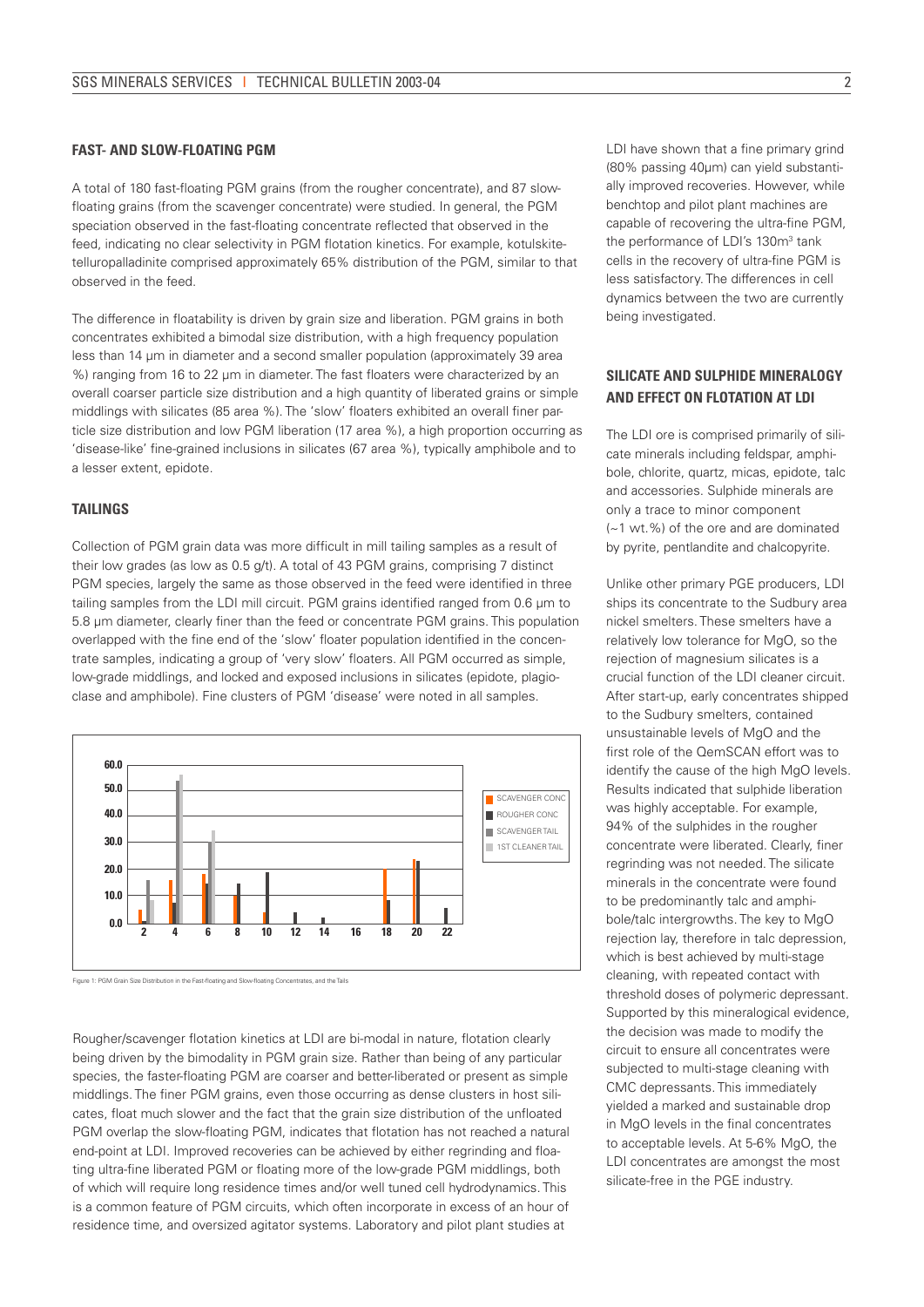### **Fast- and Slow-floating PGM**

A total of 180 fast-floating PGM grains (from the rougher concentrate), and 87 slowfloating grains (from the scavenger concentrate) were studied. In general, the PGM speciation observed in the fast-floating concentrate reflected that observed in the feed, indicating no clear selectivity in PGM flotation kinetics. For example, kotulskitetelluropalladinite comprised approximately 65% distribution of the PGM, similar to that observed in the feed.

The difference in floatability is driven by grain size and liberation. PGM grains in both concentrates exhibited a bimodal size distribution, with a high frequency population less than 14 μm in diameter and a second smaller population (approximately 39 area %) ranging from 16 to 22 μm in diameter. The fast floaters were characterized by an overall coarser particle size distribution and a high quantity of liberated grains or simple middlings with silicates (85 area %). The 'slow' floaters exhibited an overall finer particle size distribution and low PGM liberation (17 area %), a high proportion occurring as 'disease-like' fine-grained inclusions in silicates (67 area %), typically amphibole and to a lesser extent, epidote.

#### **Tailings**

Collection of PGM grain data was more difficult in mill tailing samples as a result of their low grades (as low as 0.5 g/t). A total of 43 PGM grains, comprising 7 distinct PGM species, largely the same as those observed in the feed were identified in three tailing samples from the LDI mill circuit. PGM grains identified ranged from 0.6 μm to 5.8 μm diameter, clearly finer than the feed or concentrate PGM grains. This population overlapped with the fine end of the 'slow' floater population identified in the concentrate samples, indicating a group of 'very slow' floaters. All PGM occurred as simple, low-grade middlings, and locked and exposed inclusions in silicates (epidote, plagioclase and amphibole). Fine clusters of PGM 'disease' were noted in all samples.



Figure 1: PGM Grain Size Distribution in the Fast-floating and Slow-floating Concentrates, and the Tails

Rougher/scavenger flotation kinetics at LDI are bi-modal in nature, flotation clearly being driven by the bimodality in PGM grain size. Rather than being of any particular species, the faster-floating PGM are coarser and better-liberated or present as simple middlings. The finer PGM grains, even those occurring as dense clusters in host silicates, float much slower and the fact that the grain size distribution of the unfloated PGM overlap the slow-floating PGM, indicates that flotation has not reached a natural end-point at LDI. Improved recoveries can be achieved by either regrinding and floating ultra-fine liberated PGM or floating more of the low-grade PGM middlings, both of which will require long residence times and/or well tuned cell hydrodynamics. This is a common feature of PGM circuits, which often incorporate in excess of an hour of residence time, and oversized agitator systems. Laboratory and pilot plant studies at

LDI have shown that a fine primary grind (80% passing 40μm) can yield substantially improved recoveries. However, while benchtop and pilot plant machines are capable of recovering the ultra-fine PGM, the performance of LDI's 130m<sup>3</sup> tank cells in the recovery of ultra-fine PGM is less satisfactory. The differences in cell dynamics between the two are currently being investigated.

# **Silicate and Sulphide Mineralogy and Effect on Flotation at LDI**

The LDI ore is comprised primarily of silicate minerals including feldspar, amphibole, chlorite, quartz, micas, epidote, talc and accessories. Sulphide minerals are only a trace to minor component (~1 wt.%) of the ore and are dominated by pyrite, pentlandite and chalcopyrite.

Unlike other primary PGE producers, LDI ships its concentrate to the Sudbury area nickel smelters. These smelters have a relatively low tolerance for MgO, so the rejection of magnesium silicates is a crucial function of the LDI cleaner circuit. After start-up, early concentrates shipped to the Sudbury smelters, contained unsustainable levels of MgO and the first role of the QemSCAN effort was to identify the cause of the high MgO levels. Results indicated that sulphide liberation was highly acceptable. For example, 94% of the sulphides in the rougher concentrate were liberated. Clearly, finer regrinding was not needed. The silicate minerals in the concentrate were found to be predominantly talc and amphibole/talc intergrowths. The key to MgO rejection lay, therefore in talc depression, which is best achieved by multi-stage cleaning, with repeated contact with threshold doses of polymeric depressant. Supported by this mineralogical evidence, the decision was made to modify the circuit to ensure all concentrates were subjected to multi-stage cleaning with CMC depressants. This immediately yielded a marked and sustainable drop in MgO levels in the final concentrates to acceptable levels. At 5-6% MgO, the LDI concentrates are amongst the most silicate-free in the PGE industry.